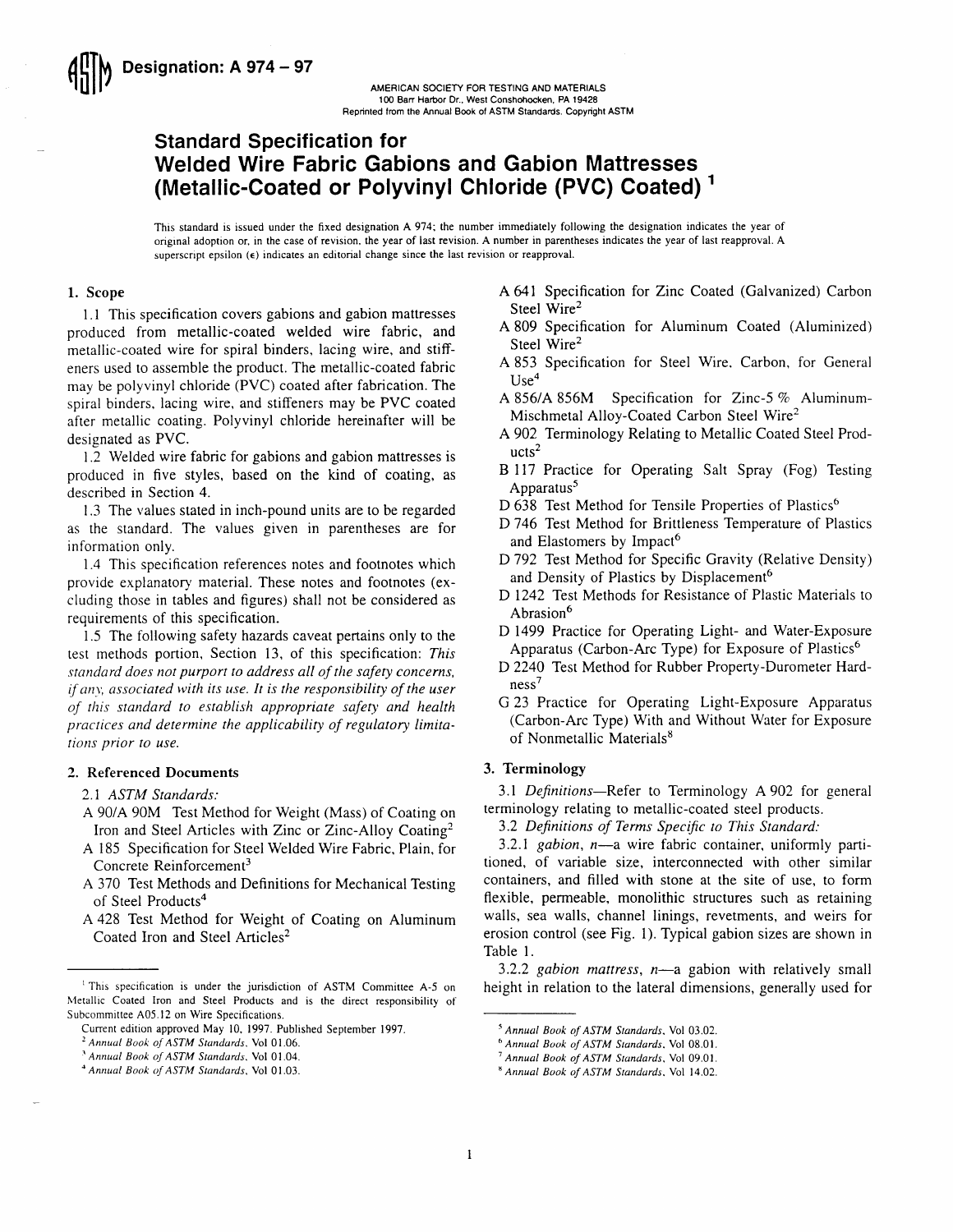

# Standard Specification for Welded Wire Fabric Gabions and Gabion Mattresses welded Wile I abilic dabiolis and dabioli mathesses<br>(Metallic-Coated or Polyvinyl Chloride (PVC) Coated)<sup>1</sup>

This standard is issued under the fixed designation A 974; the number immediately following the designation indicates the year of origrnal adoption or, in the case of revision, the year of last revision. A number in parentheses indicates the year of last reapproval. A superscript epsilon ( $\epsilon$ ) indicates an editorial change since the last revision or reapproval.

# 1. Scope

l.l This specification covers gabions and gabion mattresses produced from metallic-coated welded wire fabric, and metallic-coated wire for spiral binders, lacing wire, and stiffeners used to assemble the product. The metallic-coated fabric may be polyvinyl chloride (PVC) coated after fabrication. The spiral binders, lacing wire, and stiffeners may be PVC coated after metallic coating. Polyvinyl chloride hereinafter will be designated as PVC.

1.2 Welded wire fabric for gabions and gabion mattresses is produced in five styles, based on the kind of coating, as described in Section 4.

1.3 The values stated in inch-pound units are to be regarded as the standard. The values given in parentheses are for information only.

1.4 This specification references notes and footnotes which provide explanatory material. These notes and footnotes (excluding those in tables and figures) shall not be considered as requirements of this specification.

1.5 The following safety hazards caveat pertains only to the test methods portion. Section 13, of this specification: This standard does not purport to address all of the safety concerns, if anv, associated with its use. It is the responsibiliry of the user of this standard to establish appropriate safety and health practices and determine the applicabiliry of regulatory limitations prior to use.

#### 2. Referenced Documents

2.1 ASTM Standards:

- A 90/A 90M Test Method for Weight (Mass) of Coating on Iron and Steel Articles with Zinc or Zinc-Alloy Coating2
- A 185 Specification for Steel Welded Wire Fabric. Plain, for Concrete Reinforcement<sup>3</sup>
- A 370 Test Methods and Definitions for Mechanical Testing of Steel Products<sup>4</sup>
- A 428 Test Method for Weight of Coating on Aluminum Coated Iron and Steel Articles<sup>2</sup>
- A 641 Specification for Zinc Coated (Galvanized) Carbon Steel Wire<sup>2</sup>
- A 809 Specification for Aluminum Coated (Aluminized) Steel Wire<sup>2</sup>
- A 853 Specification for Steel Wire. Carbon, for General  $Use<sup>4</sup>$
- A 856/A 856M Specification for Zinc-5  $%$  Aluminum-Mischmetal Alloy-Coated Carbon Steel Wire2
- A902 Terminology Relating to Metallic Coated Steel Prod $ucts<sup>2</sup>$
- B ll7 Practice for Operating Salt Spray (Fog) Testing Apparatus5
- D 638 Test Method for Tensile Properties of Plastics<sup>6</sup>
- D 746 Test Method for Brittleness Temperature of Plastics and Elastomers by Impact<sup>6</sup>
- D 792 Test Method for Specific Gravity (Relative Density) and Density of Plastics by Displacement<sup>6</sup>
- D 1242 Test Methods for Resistance of Plastic Materials to Abrasion<sup>6</sup>
- D 1499 Practice for Operating Light- and Water-Exposure Apparatus (Carbon-Arc Type) for Exposure of Plastics<sup>6</sup>
- D 2240 Test Method for Rubber Property-Durometer Hard $ness<sup>7</sup>$
- G 23 Practice for Operating Light-Exposure Apparatus (Carbon-Arc Type) With and Without Water for Exposure of Nonmetallic Materials<sup>8</sup>

# 3. Terminology

3.1 Definitions—Refer to Terminology A 902 for general terminology relating to metallic-coated steel products.

3.2 Definirions of Terms Specifc to This Standard:

3.2.1 *gabion*,  $n$ —a wire fabric container, uniformly partitioned, of variable size, interconnected with other similar containers, and filled with stone at the site of use, to form flexible, permeable, monolithic structures such as retaining walls, sea walls, channel linings, revetments, and weirs for erosion control (see Fig. 1). Typical gabion sizes are shown in Table l.

3.2.2 gabion mattress,  $n$ —a gabion with relatively small height in relation to the lateral dimensions, generally used for

<sup>&#</sup>x27; This specification is under the jurisdiction of ASTM Committee A-5 on Metallic Coated Iron and Steel Products and is the direct responsibility of Subcommittee A05.12 on Wire Specifications.

Current edition approved May 10, 1997. Published September 1997.

<sup>&</sup>lt;sup>2</sup> Annual Book of ASTM Standards. Vol 01.06.

 $3$  Annual Book of ASTM Standards, Vol 01.04.

<sup>&#</sup>x27;Annual Book of ASTM Standards. Vol 01.03.

<sup>5</sup> Annual Book of ASTM Standards, Vol 03.02.

<sup>&</sup>lt;sup>6</sup> Annual Book of ASTM Standards, Vol 08.01.

<sup>&</sup>lt;sup>7</sup> Annual Book of ASTM Standards, Vol 09.01.

<sup>&</sup>lt;sup>8</sup> Annual Book of ASTM Standards, Vol 14.02.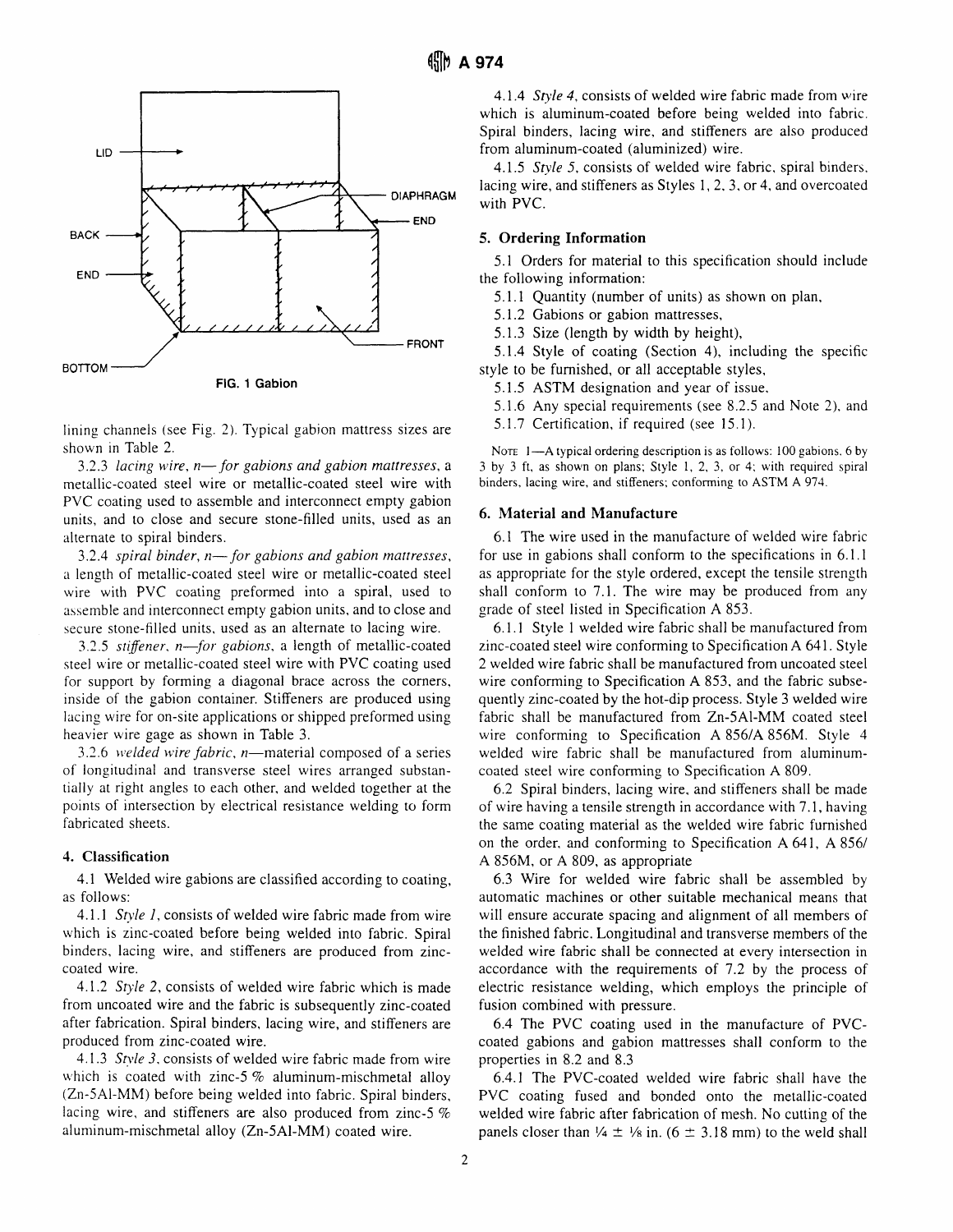

lining channels (see Fig. 2). Typical gabion mattress sizes are shown in Table 2.

3.2.3 lacing wire,  $n$ — for gabions and gabion mattresses, a metallic-coated steel wire or metallic-coated steel wire with PVC coating used to assemble and interconnect empty gabion units, and to close and secure stone-filled units, used as an alternate to spiral binders.

3.2.4 spiral binder,  $n$ — for gabions and gabion mattresses, a length of metallic-coated steel wire or metallic-coated steel wire with PVC coating preformed into a spiral, used to assemble and interconnect empty gabion units, and to close and secure stone-filled units, used as an alternate to lacing wire.

3.2.5 stiffener, n-for gabions, a length of metallic-coated steel wire or metallic-coated steel wire with PVC coating used for support by forming a diagonal brace across the corners, inside of the gabion container. Stiffeners are produced using lacing wire for on-site applications or shipped preformed using heavier wire gage as shown in Table 3.

3.2.6 welded wire fabric,  $n$ —material composed of a series of longitudinal and transverse steel wires arranged substantially at right angles to each other, and welded together at the points of intersection by electrical resistance welding to form fabricated sheets.

#### 4. Classification

4.1 Welded wire gabions are classified according to coating, as follows:

4.1.1 Style 1, consists of welded wire fabric made from wire which is zinc-coated before being welded into fabric. Spiral binders, lacing wire, and stiffeners are produced from zinccoated wire.

4.1.2 Style 2, consists of welded wire fabric which is made from uncoated wire and the fabric is subsequently zinc-coated after fabrication. Spiral binders, lacing wire, and stiffeners are produced from zinc-coated wire.

4.1.3 Style 3, consists of welded wire fabric made from wire which is coated with zinc-5 $\%$  aluminum-mischmetal alloy (Zn-5Al-MM) before being welded into fabric. Spiral binders. lacing wire, and stiffeners are also produced from zinc-5  $%$ aluminum-mischmetal allov (Zn-5Al-MM) coated wire.

4.1.4 Style 4, consists of welded wire fabric made from wire which is aluminum-coated before being welded into fabric. Spiral binders, lacing wire, and stiffeners are also produced from aluminum-coated (aluminized) wire.

4.1.5 Style 5, consists of welded wire fabric, spiral binders, lacing wire, and stiffeners as Styles 1, 2, 3, or 4, and overcoated with PVC.

### 5. Ordering Information

5.1 Orders for material to this specification should include the following information:

5.1.1 Quantity (number of units) as shown on plan,

5.I.2 Gabions or gabion mattresses,

5.1.3 Size (length by width by height),

5.1.4 Style of coating (Section 4), including the specific style to be furnished, or all acceptable styles,

5.1.5 ASTM designation and year of issue.

5.1.6 Any special requirements (see 8.2.5 and Note 2), and

5.1.7 Certification, if required (see 15.1).

NOTE 1-A typical ordering description is as follows: 100 gabions. 6 by 3 by 3 ft, as shown on plans; Style 1,2,3, or 4; with required spiral binders, lacing wire, and stiffeners; conforming to ASTM A 974.

#### 6. Material and Manufacture

6.1 The wire used in the manufacture of welded wire fabric for use in gabions shall conform to the specifications in 6.1.1 as appropriate for the style ordered, except the tensile strength shall conform to 7.1. The wire may be produced from any grade of steel listed in Specification A 853.

6.1.1 Style I welded wire fabric shall be manufactured from zinc-coated steel wire conforming to Specification A641 . Style 2 welded wire fabric shall be manufactured from uncoated steel wire conforming to Specification A 853, and the fabric subsequently zinc-coated by the hot-dip process. Style 3 welded wire fabric shall be manufactured from Zn-5Al-MM coated steel wire conforming to Specification A 856/A 856M. Style 4 welded wire fabric shall be manufactured from aluminumcoated steel wire conforming to Specification A 809.

6.2 Spiral binders, lacing wire, and stiffeners shall be made of wire having a tensile strength in accordance with 7.1, having the same coating material as the welded wire fabric furnished on the order. and conforming to Specification A 641, A 856/ A 856M, or A 809, as appropriate

6.3 Wire for welded wire fabric shall be assembled by automatic machines or other suitable mechanical means that will ensure accurate spacing and alignment of all members of the finished fabric. Longitudinal and transverse members of the welded wire fabric shall be connected at every intersection in accordance with the requirements of 7.2 by the process of electric resistance welding, which employs the principle of fusion combined with pressure.

6.4 The PVC coating used in the manufacture of PVCcoated gabions and gabion mattresses shall conform to the properties in 8.2 and 8.3

6.4.1 The PVC-coated welded wire fabric shall have the PVC coating fused and bonded onto the metallic-coated welded wire fabric after fabrication of mesh. No cutting of the panels closer than  $\frac{1}{4}$   $\pm \frac{1}{8}$  in. (6  $\pm$  3.18 mm) to the weld shall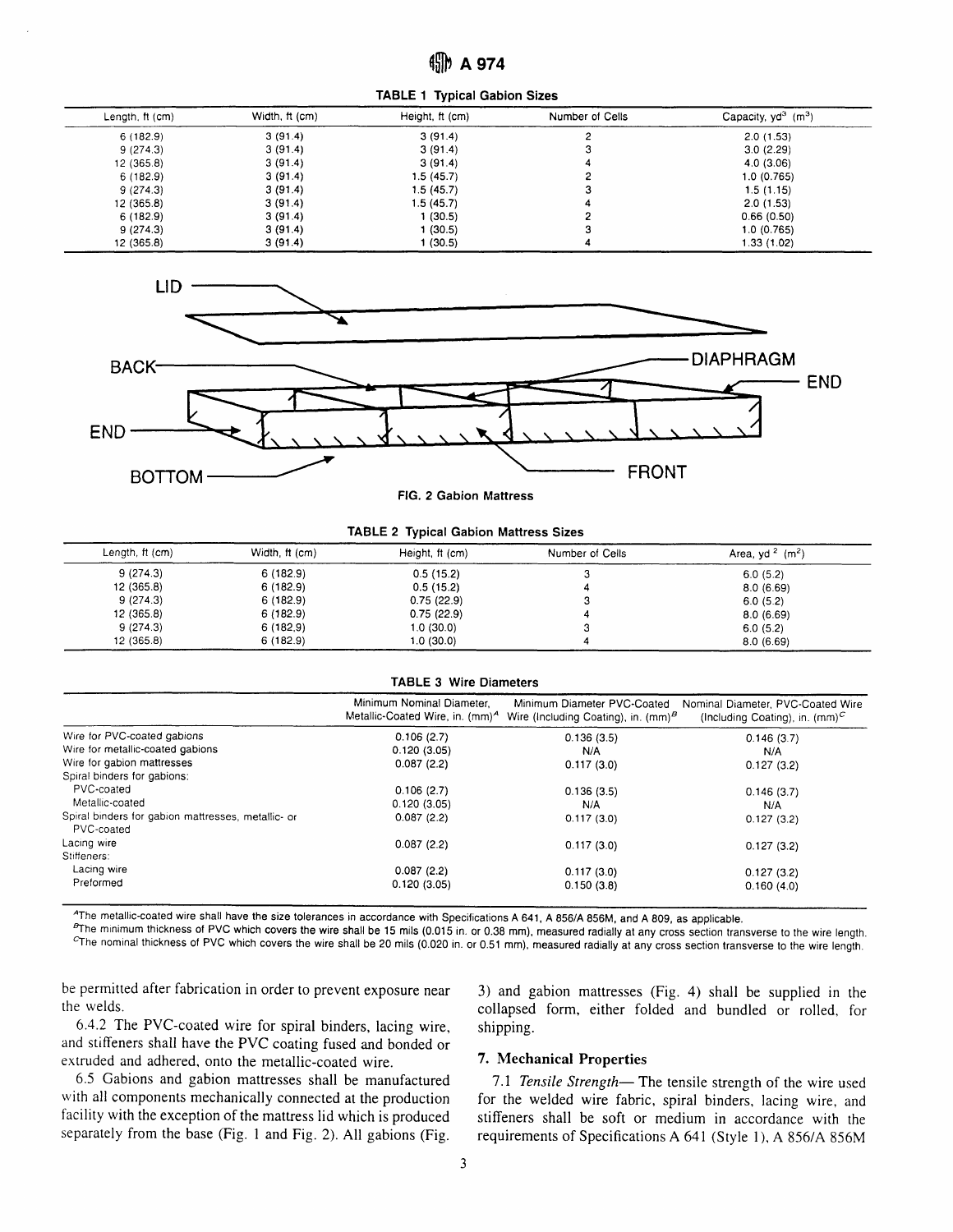TABLE 1 Typical Gabion Sizes

| Length, ft (cm) | Width, ft (cm) | Height, ft (cm) | Number of Cells | Capacity, $yd^3$ (m <sup>3</sup> ) |
|-----------------|----------------|-----------------|-----------------|------------------------------------|
| 6(182.9)        | 3(91.4)        | 3(91.4)         |                 | 2.0(1.53)                          |
| 9(274.3)        | 3(91.4)        | 3(91.4)         |                 | 3.0(2.29)                          |
| 12(365.8)       | 3(91.4)        | 3(91.4)         |                 | 4.0(3.06)                          |
| 6(182.9)        | 3(91.4)        | 1.5 (45.7)      |                 | 1.0 (0.765)                        |
| 9(274.3)        | 3(91.4)        | 1.5 (45.7)      |                 | 1.5(1.15)                          |
| 12 (365.8)      | 3(91.4)        | 1.5 (45.7)      |                 | 2.0(1.53)                          |
| 6(182.9)        | 3(91.4)        | 1 (30.5)        |                 | 0.66(0.50)                         |
| 9(274.3)        | 3(91.4)        | 1 (30.5)        | ◠               | 1.0(0.765)                         |
| 12 (365.8)      | 3(91.4)        | I (30.5)        |                 | 1.33 (1.02)                        |



FlG. 2 Gabion Mattress

# TABLE 2 Typical Gabion Mattress Sizes

| Length, ft (cm) | Width, ft (cm) | Height, ft (cm) | Number of Cells | Area, yd $2$ (m <sup>2</sup> ) |
|-----------------|----------------|-----------------|-----------------|--------------------------------|
| 9(274.3)        | 6(182.9)       | 0.5(15.2)       | w               | 6.0(5.2)                       |
| 12 (365.8)      | 6(182.9)       | 0.5(15.2)       |                 | 8.0(6.69)                      |
| 9(274.3)        | 6(182.9)       | 0.75(22.9)      | ت               | 6.0(5.2)                       |
| 12 (365.8)      | 6(182.9)       | 0.75(22.9)      |                 | 8.0(6.69)                      |
| 9(274.3)        | 6(182,9)       | 1.0(30.0)       |                 | 6.0(5.2)                       |
| 12 (365.8)      | 6(182.9)       | 1.0(30.0)       |                 | 8.0(6.69)                      |

#### TABLE 3 Wire Diameters

|                                                                  | Minimum Nominal Diameter,<br>Metallic-Coated Wire, in. (mm) <sup>A</sup> | Minimum Diameter PVC-Coated<br>Wire (Including Coating), in. $(mm)^B$ | Nominal Diameter, PVC-Coated Wire<br>(Including Coating), in. $(mm)^C$ |
|------------------------------------------------------------------|--------------------------------------------------------------------------|-----------------------------------------------------------------------|------------------------------------------------------------------------|
| Wire for PVC-coated gabions                                      | 0.106(2.7)                                                               | 0.136(3.5)                                                            | 0.146(3.7)                                                             |
| Wire for metallic-coated gabions                                 | 0.120(3.05)                                                              | N/A                                                                   | N/A                                                                    |
| Wire for gabion mattresses                                       | 0.087(2.2)                                                               | 0.117(3.0)                                                            | 0.127(3.2)                                                             |
| Spiral binders for gabions:                                      |                                                                          |                                                                       |                                                                        |
| PVC-coated                                                       | 0.106(2.7)                                                               | 0.136(3.5)                                                            | 0.146(3.7)                                                             |
| Metallic-coated                                                  | 0.120(3.05)                                                              | N/A                                                                   | N/A                                                                    |
| Spiral binders for gabion mattresses, metallic- or<br>PVC-coated | 0.087(2.2)                                                               | 0.117(3.0)                                                            | 0.127(3.2)                                                             |
| Lacing wire                                                      | 0.087(2.2)                                                               | 0.117(3.0)                                                            | 0.127(3.2)                                                             |
| Stiffeners:                                                      |                                                                          |                                                                       |                                                                        |
| Lacing wire                                                      | 0.087(2.2)                                                               | 0.117(3.0)                                                            | 0.127(3.2)                                                             |
| Preformed                                                        | 0.120(3.05)                                                              | 0.150(3.8)                                                            | 0.160(4.0)                                                             |

<sup>A</sup>The metallic-coated wire shall have the size tolerances in accordance with Specifications A 641, A 856/A 856M, and A 809, as applicable.<br><sup>P</sup>The minimum thickness of PVC which covers the wire shall be 15 mils (0.015 in.

be permitted after fabrication in order to prevent exposure near the welds.

6.4.2 The PVC-coated wire for spiral binders, lacing wire, and stiffeners shall have the PVC coating fused and bonded or extruded and adhered, onto the metallic-coated wire.

6.5 Gabions and gabion mattresses shall be manufactured with all components mechanically connected at the production facility with the exception of the mattress lid which is produced separately from the base (Fig. 1 and Fig. 2). All gabions (Fig.

3) and gabion mattresses (Fig. a) shall be supplied in the collapsed form, either folded and bundled or rolled, forshipping.

## 7. Mechanical Properties

7.1 Tensile Strength- The tensile strength of the wire used for the welded wire fabric, spiral binders, lacing wire, and stiffeners shall be soft or medium in accordance with the requirements of Specifications A 641 (Style 1), A 856/A 856M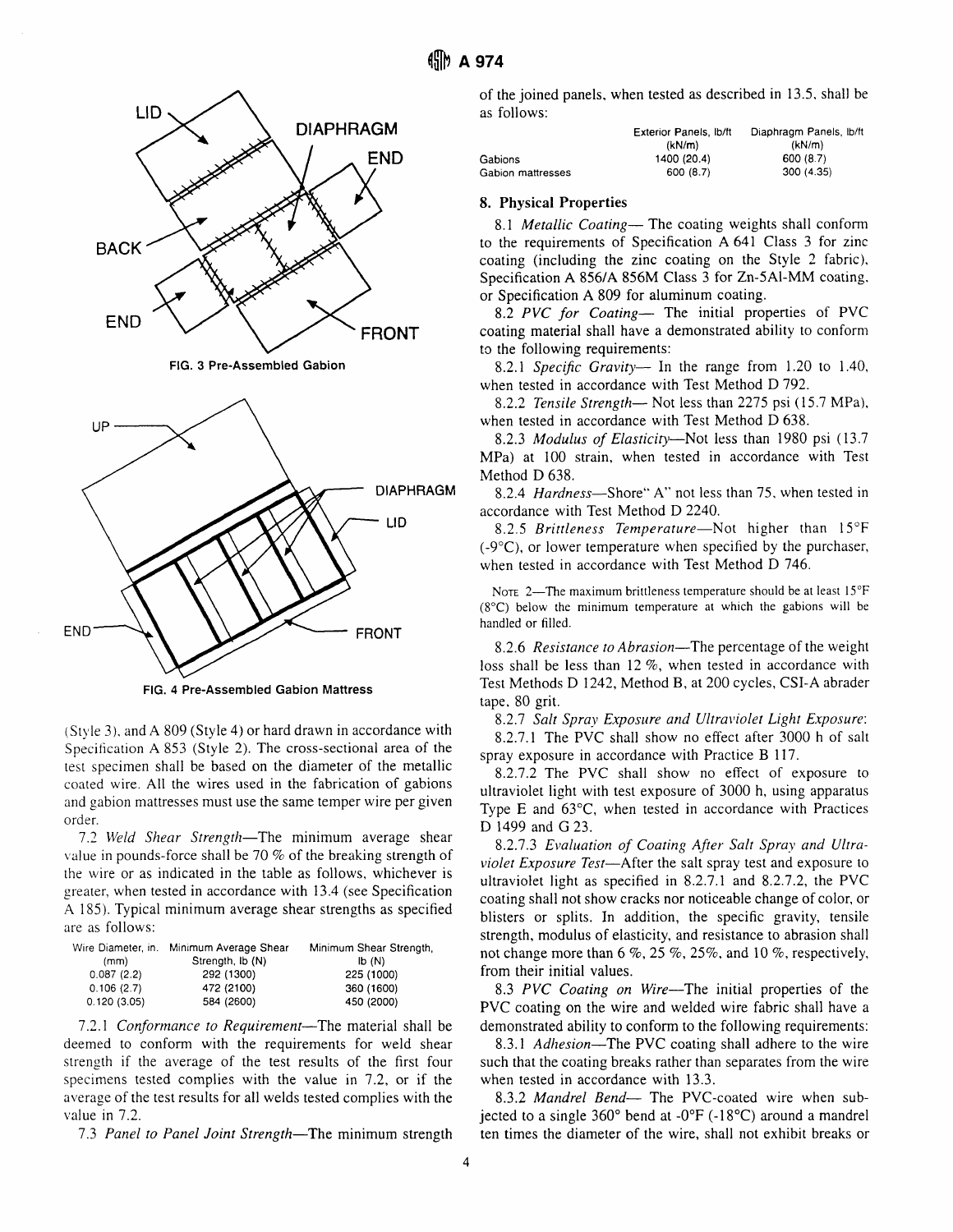

FlG. 4 Pre-Assembled Gabion Mattress

 $(Sityle 3)$ , and A 809 (Style 4) or hard drawn in accordance with Specification A 853 (Style 2). The cross-sectional area of the test specimen shall be based on the diameter of the metallic coated wire. All the wires used in the fabrication of gabions and gabion mattresses must use the same temper wire per given order.

7.2 Weld Shear Strength-The minimum average shear value in pounds-force shall be  $70\%$  of the breaking strength of the wire or as indicated in the table as follows, whichever is greater, when tested in accordance with 13.4 (see Specification A 185). Typical minimum average shear strengths as specified are as follows:

|             | Wire Diameter, in. Minimum Average Shear | Minimum Shear Strength, |
|-------------|------------------------------------------|-------------------------|
| (mm)        | Strength, ib (N)                         | b(N)                    |
| 0.087(2.2)  | 292 (1300)                               | 225 (1000)              |
| 0.106(2.7)  | 472 (2100)                               | 360 (1600)              |
| 0.120(3.05) | 584 (2600)                               | 450 (2000)              |

7.2.1 Conformance to Requirement-The material shall be deemed to conform with the requirements for weld shear strength if the average of the test results of the first four specimens tested complies with the value in 7.2, or if the average of the test results for all welds tested complies with the value in 7.2.

7.3 Panel to Panel Joint Strength—The minimum strength

of the joined panels, when tested as described in 13.5. shall be as follows:

|                   | Exterior Panels, Ib/ft<br>(kN/m) | Diaphragm Panels, lb/ft<br>(kN/m) |
|-------------------|----------------------------------|-----------------------------------|
| Gabions           | 1400 (20.4)                      | 600 (8.7)                         |
| Gabion mattresses | 600 (8.7)                        | 300 (4.35)                        |

### 8. Physical Properties

8.1 Metallic Coating- The coating weights shall conform to the requirements of Specification A 641 Class 3 for zinc coating (including the zinc coating on the Style 2 fabric), Specification A 856/4 856M Class 3 for Zn-5Al-MM coating. or Specification A 809 for aluminum coating.

8.2 PVC for Coating- The initial properties of PVC coating material shall have a demonstrated ability to conform to the following requirements:

8.2.1 Specific Gravity- In the range from 1.20 to 1.40, when tested in accordance with Test Method D 792.

8.2.2 Tensile Strength- Not less than 2275 psi (15.7 MPa), when tested in accordance with Test Method D 638.

8.2.3 Modulus of Elasticity-Not less than 1980 psi (13.7) MPa) at 100 strain, when tested in accordance with Test Method D 638.

8.2.4 Hardness—Shore" A" not less than 75, when tested in accordance with Test Method D 2240.

8.2.5 Brittleness Temperature-Not higher than  $15^{\circ}F$  $(-9^{\circ}C)$ , or lower temperature when specified by the purchaser, when tested in accordance with Test Method D 746.

NOTE 2-The maximum brittleness temperature should be at least 15°F (8'C) below the minimum temperature at which the gabions will be handled or filled.

8.2.6 Resistance to Abrasion—The percentage of the weight loss shall be less than  $12\%$ , when tested in accordance with Test Methods D 1242, Method B, at 200 cycles, CSI-A abrader tape. 80 grit.

8.2.7 Salt Sprav Exposure and Ultraviolet Light Exposure: 8.2.1.1 The PVC shall show no effect after 3000 h of salt spray exposure in accordance with Practice B 117.

8.2.72 The PVC shall show no effect of exposure to ultraviolet light with test exposure of 3000 h, using apparatus Type  $E$  and  $63^{\circ}C$ , when tested in accordance with Practices D 1499 and G 23.

8.2.7.3 Evaluation of Coating After Salt Spray and Ultraviolet Exposure Test-After the salt spray test and exposure to ultraviolet light as specified in 8.2.7.1 and 8.2.7.2, the PVC coating shall not show cracks nor noticeable change of color, or blisters or splits. In addition, the specific gravity, tensile strength, modulus of elasticity, and resistance to abrasion shall not change more than  $6\%$ ,  $25\%$ ,  $25\%$ , and  $10\%$ , respectively, from their initial values.

8.3 PVC Coating on Wire-The initial properties of the PVC coating on the wire and welded wire fabric shall have a demonstrated ability to conform to the following requirements:

8.3.1 Adhesion-The PVC coating shall adhere to the wire such that the coating breaks rather than separates from the wire when tested in accordance with 13.3.

8.3.2 Mandrel Bend- The PVC-coated wire when subjected to a single  $360^{\circ}$  bend at  $-0^{\circ}F(-18^{\circ}C)$  around a mandrel ten times the diameter of the wire. shall not exhibit breaks or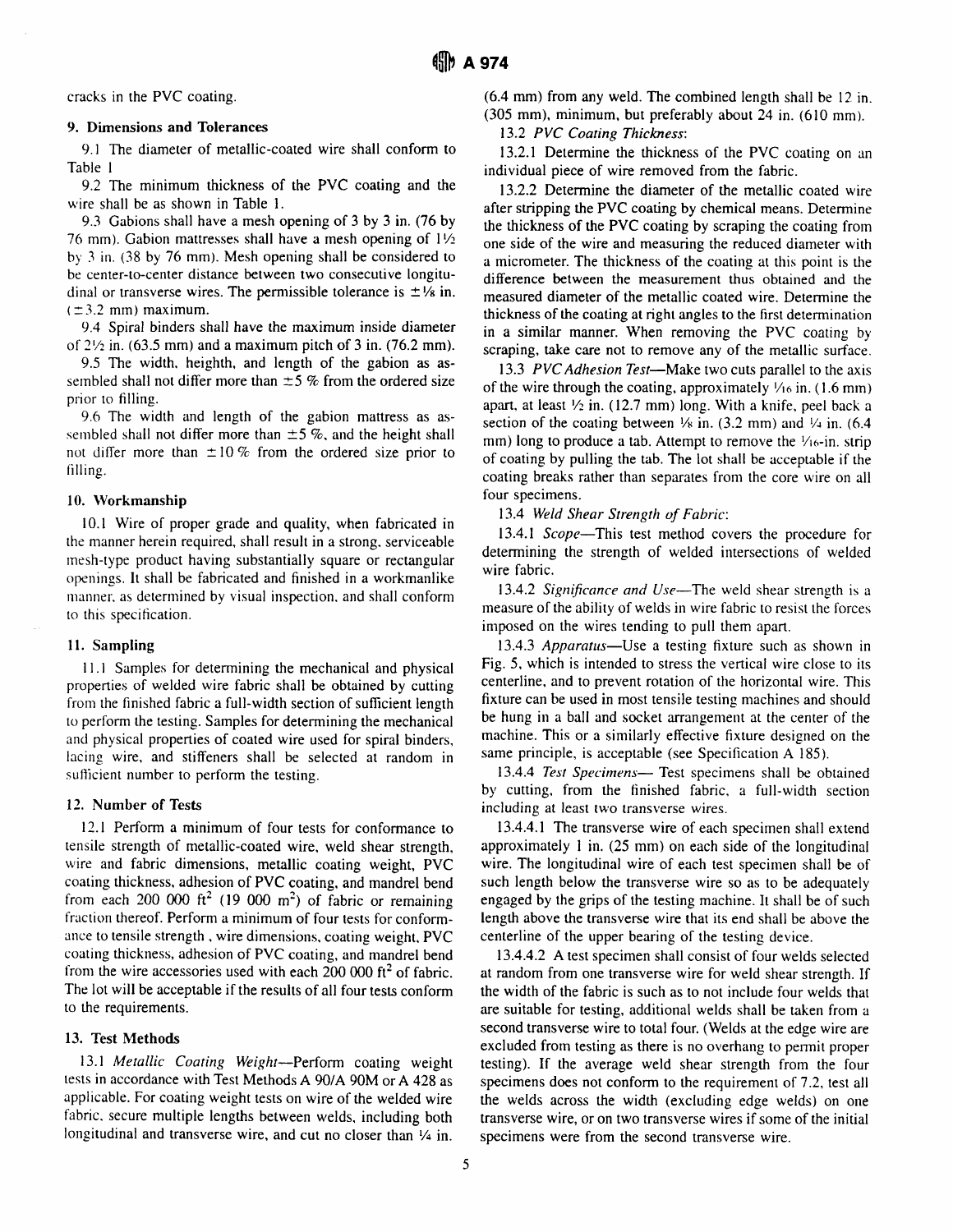cracks in the PVC coating.

#### 9. Dimensions and Tolerances

9.1 The diameter of metallic-coated wire shall conform to Table I

9.2 The minimum thickness of the PVC coating and the wire shall be as shown in Table 1.

9.3 Gabions shall have a mesh opening of 3 by 3 in. (76 by 76 mm). Gabion mattresses shall have a mesh opening of  $1\frac{1}{2}$ by 3 in. (38 by 76 mm). Mesh opening shall be considered to be center-to-center distance between two consecutive longitudinal or transverse wires. The permissible tolerance is  $\pm \frac{1}{8}$  in.  $(\pm 3.2 \text{ mm})$  maximum.

9.4 Spiral binders shall have the maximum inside diameter of  $2\frac{1}{2}$  in. (63.5 mm) and a maximum pitch of 3 in. (76.2 mm).

9.5 The width. heighth, and length of the gabion as assembled shall not differ more than  $\pm 5$  % from the ordered size prior to filling.

9.6 The width and length of the gabion maftress as assembled shall not differ more than  $\pm 5$ %, and the height shall not differ more than  $\pm 10\%$  from the ordered size prior to filling.

#### 10. Workmanship

l0.l Wire of proper grade and quality, when fabricated in the manner herein required, shall result in a strong. serviceable rnesh-type product having substantially square or rectangular openings. It shall be fabricated and finished in a workmanlike manner, as determined by visual inspection, and shall conform to this specification.

#### 11. Sampling

I l.l Samples for determining the mechanical and physical properties of welded wire fabric shall be obtained by cutting from the finished fabric a full-width section of suflicient length to perform the testing. Samples for determining the mechanical and physical properties of coated wire used for spiral binders, lacing wire, and stiffeners shall be selected at random in sufficient number to perform the testing.

#### 12. Number of Tests

l2.l Perform a minimum of four tests for conformance to tensile strength of metallic-coated wire, weld shear strength, wire and fabric dimensions, metallic coating weight, PVC coating thickness, adhesion of PVC coating, and mandrel bend from each 200 000 ft<sup>2</sup> (19 000 m<sup>2</sup>) of fabric or remaining fraction thereof. Perform a minimum of four tests for conformance to tensile strength, wire dimensions, coating weight. PVC coating thickness, adhesion of PVC coating, and mandrel bend from the wire accessories used with each 200 000  $ft^2$  of fabric. The lot will be acceptable if the resuhs of all four tests conform to the requirements.

### 13. Test Methods

13.1 Metallic Coating Weight-Perform coating weight tests in accordance with Test Merhods A 90/A 90M or A 428 as applicable. For coating weight tests on wire of the welded wire fabric. secure multiple lengths between welds. including both longitudinal and transverse wire, and cut no closer than  $\frac{1}{4}$  in.

(6.4 mm) from any weld. The combined lengrh shall be l2 in. (305 mm), minimum, but preferably about 24 in. (610 mm).

13.2 PVC Coating Thickness:

13.2.1 Determine the thickness of the PVC coating on an individual piece of wire removed from the fabric.

13.2.2 Determine the diameter of the metallic coated wire after stripping the PVC coating by chemical means. Determine the thickness of the PVC coating by scraping the coating frorn one side of the wire and measuring the reduced diameter with a micrometer. The thickness of the coating at this point is the difference between the measurement thus obtained and the measured diameter of the metallic coated wire. Determine the thickness of the coating at right angles to the first determination in a similar manner. When removing the PVC coating by scraping, take care not to remove any of the metallic surface.

13.3 PVC Adhesion Test—Make two cuts parallel to the axis of the wire through the coating, approximately  $\frac{1}{6}$  in. (1.6 mm) apart, at least  $\frac{1}{2}$  in. (12.7 mm) long. With a knife, peel back a section of the coating between  $\frac{1}{8}$  in. (3.2 mm) and  $\frac{1}{4}$  in. (6.4 mm) long to produce a tab. Attempt to remove the  $\frac{1}{6}$ -in. strip of coating by pulling the tab. The lot shall be acceptable if the coating breaks rather than separates from the core wire on all four specimens.

13.4 Weld Shear Strength of Fabric:

13.4.1 Scope—This test method covers the procedure for determining the strength of welded intersections of welded wire fabric.

13.4.2 Significance and Use-The weld shear strength is a measure of the ability of welds in wire fabric to resist the forces imposed on the wires tending to pull them apart.

13.4.3 Apparatus—Use a testing fixture such as shown in Fig. 5, which is intended to stress the vertical wire close to its centerline, and to prevent rotation of the horizontal wire. This fixture can be used in most tensile testing machines and should be hung in a ball and socket arrangement at the center of the machine. This or a similarly effective fixture designed on the same principle, is acceptable (see Specification A 185).

13.4.4 Test Specimens- Test specimens shall be obtained by cutting, from the finished fabric, a full-width section including at least two transverse wires.

13.4.4.1 The transverse wire of each specimen shall extend approximately 1 in.  $(25 \text{ mm})$  on each side of the longitudinal wire. The longitudinal wire of each test specimen shall be of such length below the transverse wire so as to be adequately engaged by the grips of the testing machine. It shall be of such length above the transverse wire that its end shall be above the centerline of the upper bearing of the testing device.

13.4.4.2 A test specimen shall consist of four welds selected at random from one transverse wire for weld shear strength. If the width of the fabric is such as to not include four welds that are suitable for testing, additional welds shall be raken from a second transverse wire to total four. (Welds at the edge wire are excluded from testing as there is no overhang to permit proper testing). If the average weld shear strength from the four specimens does not conform to the requirement of 7.2, test all the welds across the width (excluding edge welds) on one transverse wire, or on two transverse wires if some of the initial specimens were from the second transverse wire.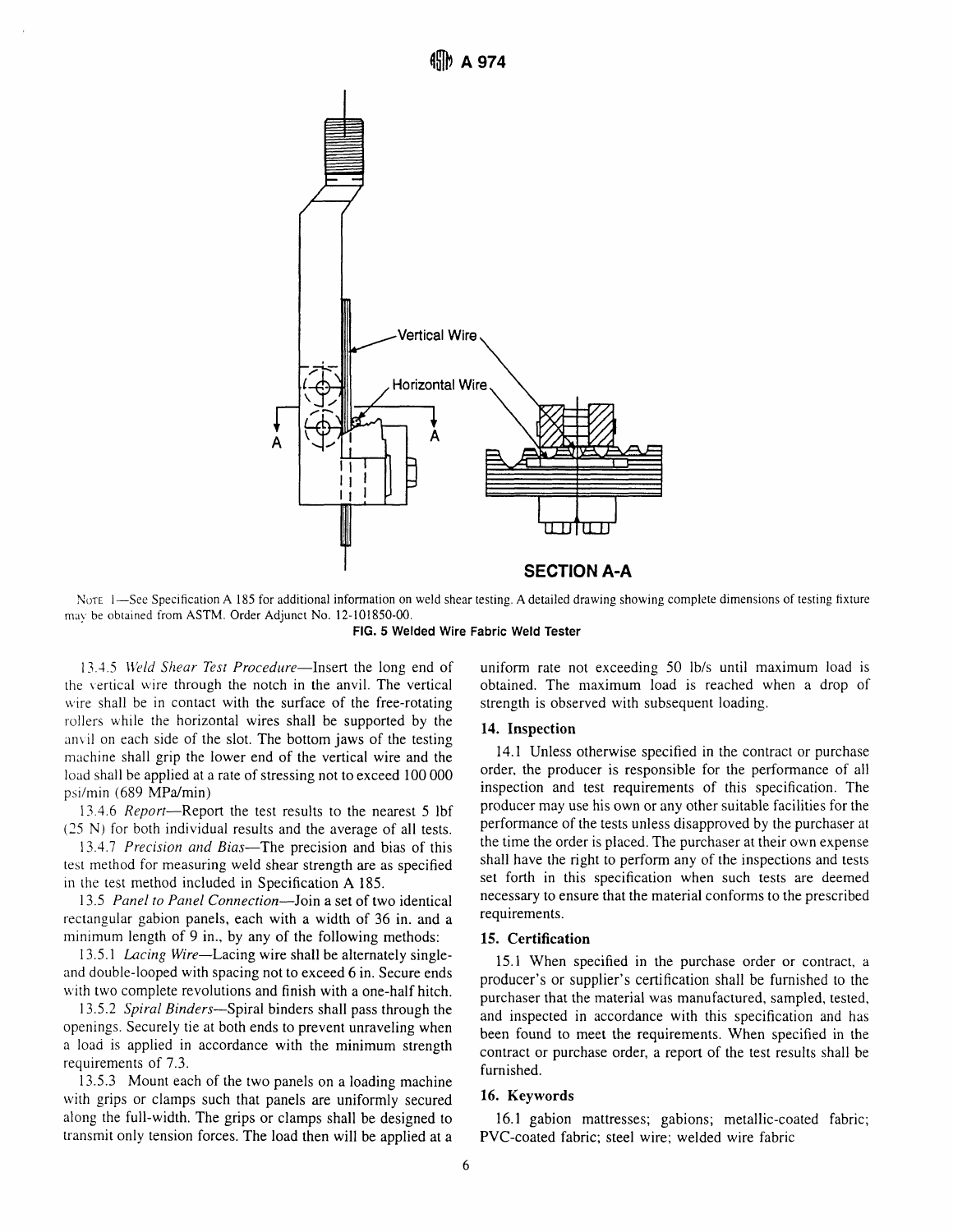

NOTE 1-See Specification A 185 for additional information on weld shear testing. A detailed drawing showing complete dimensions of testing fixture may be obtained from ASTM. Order Adjunct No. 12-101850-00.



13.4.5 Weld Shear Test Procedure-Insert the long end of the vertical wire through the notch in the anvil. The vertical wire shall be in contact with the surface of the free-rotating rollers while the horizontal wires shall be supported by the anvil on each side of the slot. The bottom jaws of the testing machine shall grip the lower end of the vertical wire and the load shall be applied at a rate of stressing not to exceed 100 000 psi/min (689 MPa/min)

13.4.6 Report-Report the test results to the nearest 5 lbf (25 N) for both individual results and the average of all tests.

13.4.7 Precision and Bias-The precision and bias of this test method for measuring weld shear strength are as specified in the test method included in Specification A 185.

13.5 Panel to Panel Connection-Join a set of two identical rectangular gabion panels, each with a width of 36 in. and a minimum length of 9 in., by any of the following methods:

13.5.1 Lacing Wire-Lacing wire shall be alternately singleand double-looped with spacing not to exceed 6 in. Secure ends with two complete revolutions and finish with a one-half hitch.

13.5.2 Spiral Binders—Spiral binders shall pass through the openings. Securely tie at both ends to prevent unraveling when a load is applied in accordance with the minimum strength requirements of 7.3.

13.5.3 Mount each of the two panels on a loading machine with grips or clamps such that panels are uniformly secured along the full-width. The grips or clamps shall be designed to transmit only tension forces. The load then will be applied at a uniform rate not exceeding 50 lb/s until maximum load is obtained. The maximum load is reached when a drop of strength is observed with subsequent loading.

#### 14. Inspection

14.1 Unless otherwise specified in the contract or purchase order, the producer is responsible for the performance of all inspection and test requirements of this specification. The producer may use his own or any other suitable facilities for the performance of the tests unless disapproved by the purchaser at the time the order is placed. The purchaser at their own expense shall have the right to perform any of the inspections and tests set forth in this specification when such tests are deemed necessary to ensure that the material conforms to the prescribed requirements.

#### 15. Certification

15.1 When specified in the purchase order or contract, a producer's or supplier's certification shall be furnished to the purchaser that the material was manufactured, sampled, tested, and inspected in accordance with this specification and has been found to meet the requirements. When specified in the contract or purchase order, a report of the test results shall be furnished.

### 16. Keywords

16.1 gabion mattresses; gabions; metallic-coated fabric; PVC-coated fabric; steel wire: welded wire fabric